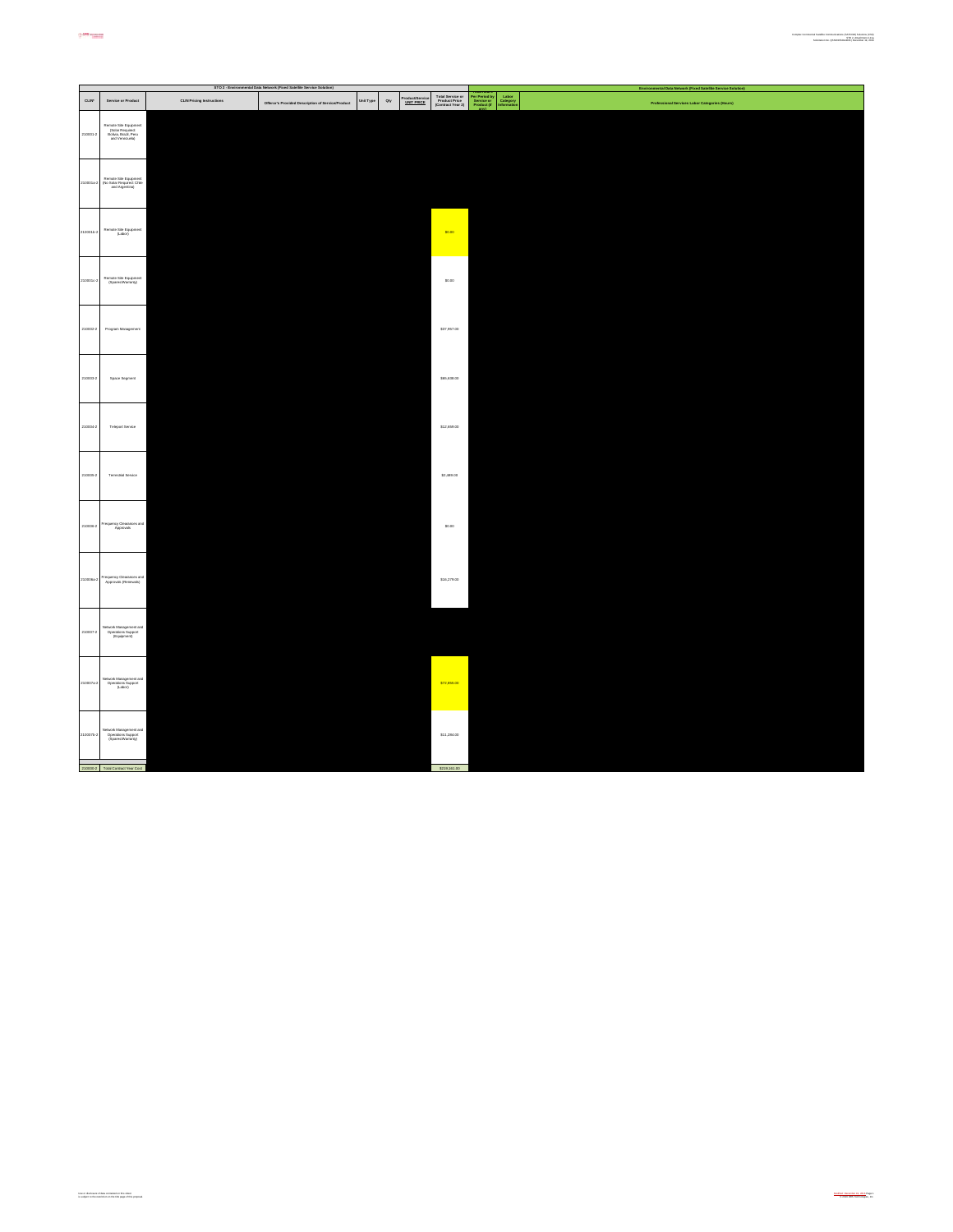|             |                                                                                      |                                  | STO 2 - Environmental Data Network (Fixed Satellite Service Solution) |           |                                             |                                                        |                                                                                                           | mental Data Network (Fixed Satellite Service Solution)<br>Environ |
|-------------|--------------------------------------------------------------------------------------|----------------------------------|-----------------------------------------------------------------------|-----------|---------------------------------------------|--------------------------------------------------------|-----------------------------------------------------------------------------------------------------------|-------------------------------------------------------------------|
| <b>CLIN</b> | Service or Product                                                                   | <b>CLIN Pricing Instructions</b> | Offeror's Provided Description of Service/Product                     | Unit Type | Product/Service<br><u>UNIT PRICE</u><br>Qty | Total Service or<br>Product Price<br>(Contract Year 2) | <b>Par Period by<br/>Par Period by<br/>Service or<br/>Product (if</b><br>Labor<br>Category<br>Information | Professional Services Labor Categories (Hours)                    |
| 210001-2    | Remote Site Equipment<br>(Solar Required:<br>Bolivia, Brazil, Peru<br>and Venezuela) |                                  |                                                                       |           |                                             |                                                        |                                                                                                           |                                                                   |
| 10001a      | Remote Site Equipment<br>(No Solar Required: Chile<br>and Argentina)                 |                                  |                                                                       |           |                                             |                                                        |                                                                                                           |                                                                   |
| 100015-2    | Remote Site Equipment<br>(Labor)                                                     |                                  |                                                                       |           |                                             | \$0.00                                                 |                                                                                                           |                                                                   |
| 210001c-2   | Remote Site Equipment<br>(Speres/Warranty)                                           |                                  |                                                                       |           |                                             | \$0.00                                                 |                                                                                                           |                                                                   |
| 210002-2    | Program Management                                                                   |                                  |                                                                       |           |                                             | \$37,957.00                                            |                                                                                                           |                                                                   |
| 210003-2    | Space Segment                                                                        |                                  |                                                                       |           |                                             | \$65,638.00                                            |                                                                                                           |                                                                   |
| 210004-2    | Teleport Service                                                                     |                                  |                                                                       |           |                                             | \$12,659.00                                            |                                                                                                           |                                                                   |
| 210005-2    | <b>Terrestrial Service</b>                                                           |                                  |                                                                       |           |                                             | \$2,489.00                                             |                                                                                                           |                                                                   |
| 210006-2    | Frequency Clearances and<br>Approvals                                                |                                  |                                                                       |           |                                             | \$0.00                                                 |                                                                                                           |                                                                   |
| 210006a-2   | Frequency Clearances and<br>Approvals (Renewals)                                     |                                  |                                                                       |           |                                             | \$16,279.00                                            |                                                                                                           |                                                                   |
| 210007-2    | Vetwork Menagement and<br>Operations Support<br>(Equipment)                          |                                  |                                                                       |           |                                             |                                                        |                                                                                                           |                                                                   |
| 10007a4     | Network Management and<br>Operations Support<br>(Labor)                              |                                  |                                                                       |           |                                             | \$72,855.00                                            |                                                                                                           |                                                                   |
| 2100076-2   | Network Menagement and<br>Operations Support<br>(Spares/Warranty)                    |                                  |                                                                       |           |                                             | \$11,284.00                                            |                                                                                                           |                                                                   |
|             | 210000-2 Total Contract Year Cost                                                    |                                  |                                                                       |           |                                             | \$219,161.00                                           |                                                                                                           |                                                                   |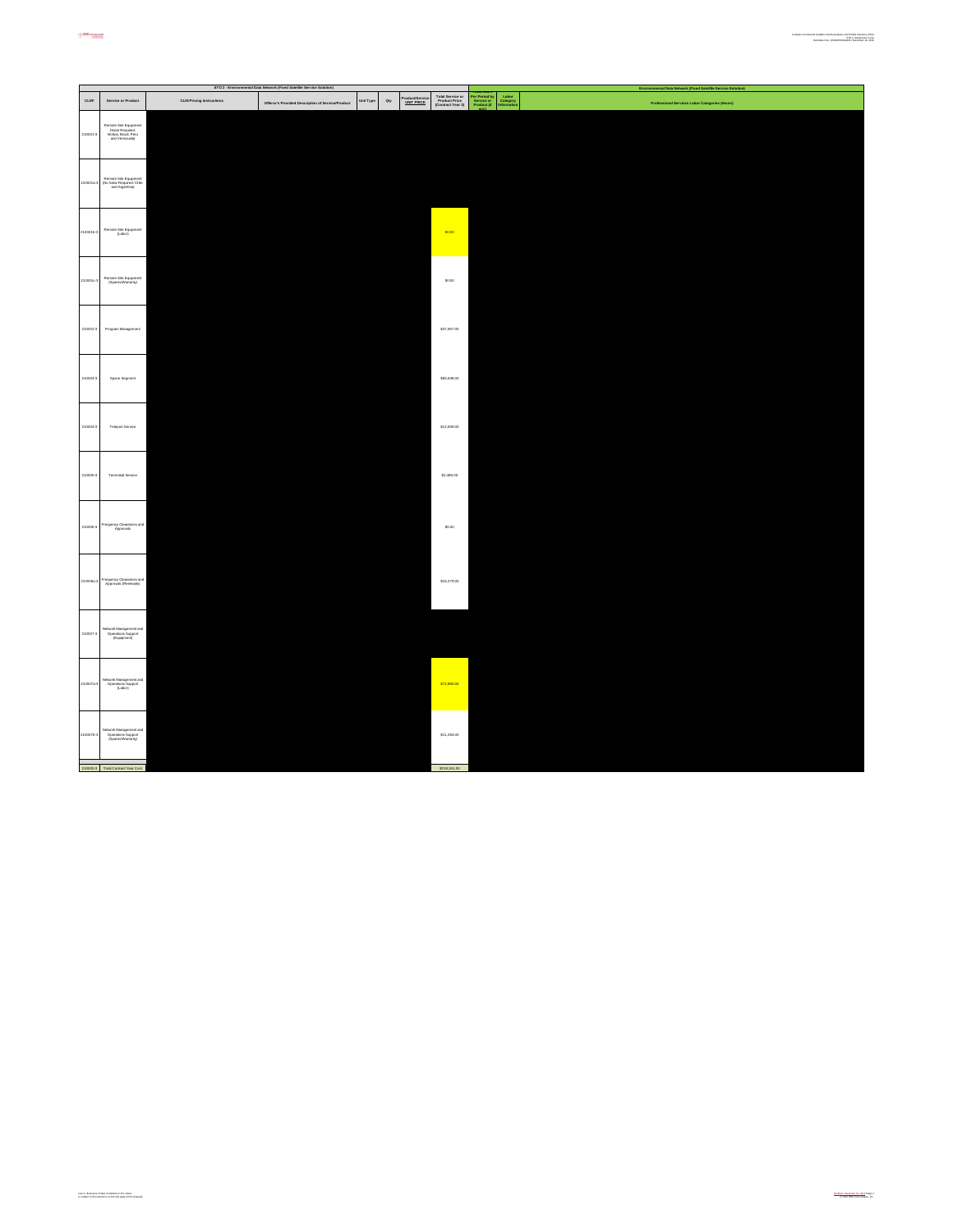|                  |                                                                                      |                                  | STO 2 - Environmental Data Network (Fixed Satellite Service Solution) |           |                                             |                                                        |                                                                                | mental Data Network (Fixed Satellite Service Solution)<br>Environ |
|------------------|--------------------------------------------------------------------------------------|----------------------------------|-----------------------------------------------------------------------|-----------|---------------------------------------------|--------------------------------------------------------|--------------------------------------------------------------------------------|-------------------------------------------------------------------|
| $_{\text{CLIN}}$ | Service or Product                                                                   | <b>CLIN Pricing Instructions</b> | Offeror's Provided Description of Service/Product                     | Unit Type | Product/Service<br><u>UNIT PRICE</u><br>Qty | Total Service or<br>Product Price<br>(Contract Year 3) | Per Period by<br>Service or<br>Product (if<br>Labor<br>Category<br>Information | Professional Services Labor Categories (Hours)                    |
| 210001-3         | Remote Site Equipment<br>(Solar Required:<br>Bolivia, Brazil, Peru<br>and Venezuela) |                                  |                                                                       |           |                                             |                                                        |                                                                                |                                                                   |
| 10001a           | Remote Site Equipment<br>(No Solar Required: Chile<br>and Argentina)                 |                                  |                                                                       |           |                                             |                                                        |                                                                                |                                                                   |
| 100015-3         | Remote Site Equipment<br>(Labor)                                                     |                                  |                                                                       |           |                                             | \$0.00                                                 |                                                                                |                                                                   |
| 100010-3         | Remote Site Equipment<br>(Speres/Warranty)                                           |                                  |                                                                       |           |                                             | \$0.00                                                 |                                                                                |                                                                   |
| 210002-3         | Program Management                                                                   |                                  |                                                                       |           |                                             | \$37,957.00                                            |                                                                                |                                                                   |
| 210003-3         | Space Segment                                                                        |                                  |                                                                       |           |                                             | \$65,638.00                                            |                                                                                |                                                                   |
| 210004-3         | Teleport Service                                                                     |                                  |                                                                       |           |                                             | \$12,659.00                                            |                                                                                |                                                                   |
| 210005-3         | <b>Terrestrial Service</b>                                                           |                                  |                                                                       |           |                                             | \$2,489.00                                             |                                                                                |                                                                   |
| 210006-3         | Frequency Clearances and<br>Approvals                                                |                                  |                                                                       |           |                                             | \$0.00                                                 |                                                                                |                                                                   |
| 10008a           | Frequency Clearances and<br>Approvals (Renewals)                                     |                                  |                                                                       |           |                                             | \$16,279.00                                            |                                                                                |                                                                   |
| 210007-3         | Network Management and<br>Operations Support<br>(Equipment)                          |                                  |                                                                       |           |                                             |                                                        |                                                                                |                                                                   |
| 210007a-3        | Network Management and<br>Operations Support<br>(Labor)                              |                                  |                                                                       |           |                                             | \$72,855.00                                            |                                                                                |                                                                   |
| 2100076-2        | Network Menagement and<br>Operations Support<br>(Spares/Warranty)                    |                                  |                                                                       |           |                                             | \$11,284.00                                            |                                                                                |                                                                   |
|                  | 210000-3 Total Contract Year Cost                                                    |                                  |                                                                       |           |                                             | \$219,161.00                                           |                                                                                |                                                                   |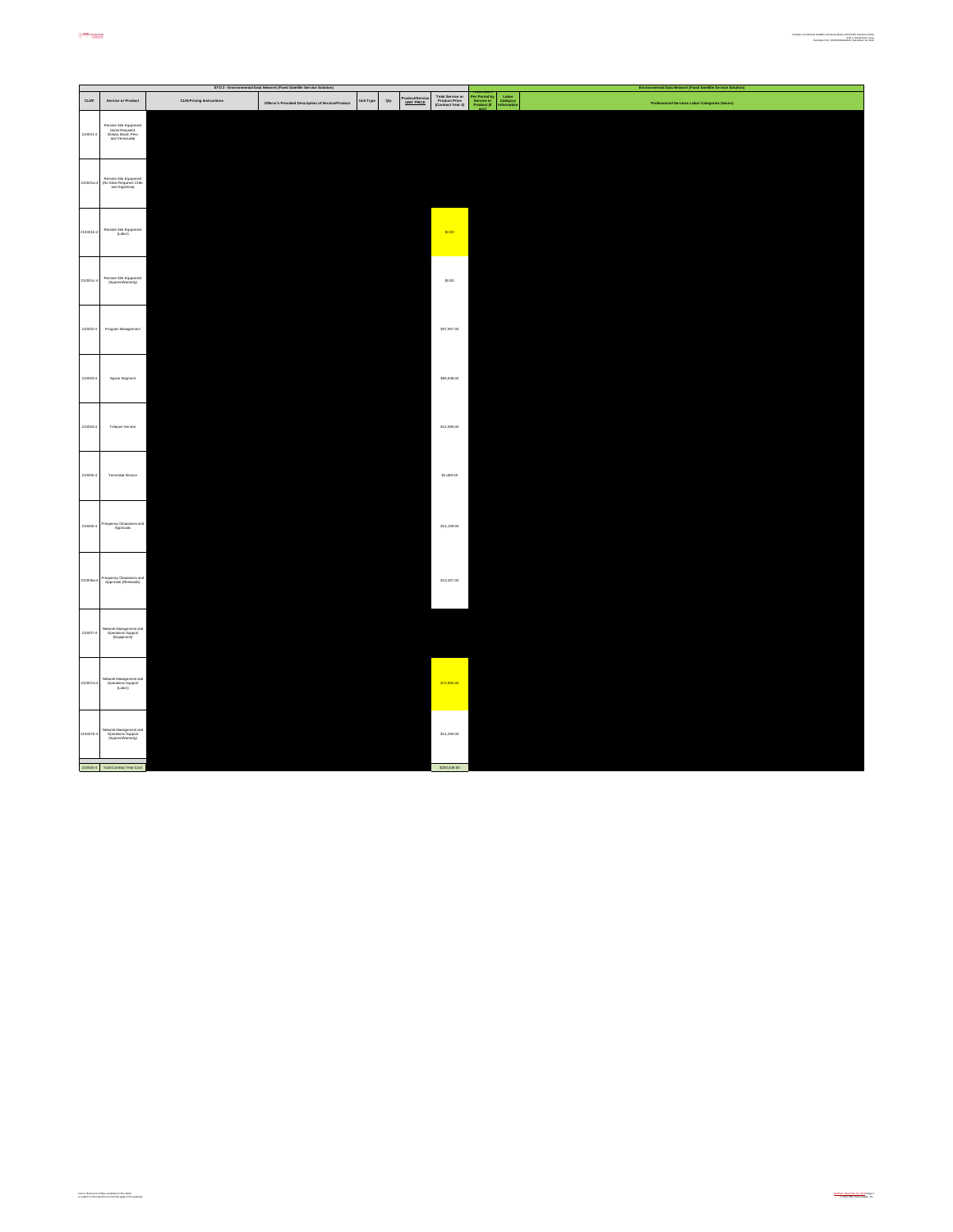|                 |                                                                                      |                                  | STO 2 - Environmental Data Network (Fixed Satellite Service Solution) |           |                                      |                                                        | Environmental Data Network (Fixed Satellite Service Solution)                                                                    |
|-----------------|--------------------------------------------------------------------------------------|----------------------------------|-----------------------------------------------------------------------|-----------|--------------------------------------|--------------------------------------------------------|----------------------------------------------------------------------------------------------------------------------------------|
| $_{\rm CLIN^*}$ | Service or Product                                                                   | <b>CLIN Pricing Instructions</b> | Offeror's Provided Description of Service/Product                     | Unit Type | Product/Service<br>UNIT PRICE<br>Qty | Total Service or<br>Product Price<br>(Contract Year 4) | Per Period by<br>Service or<br>Product (if<br>Labor<br>Category<br>Information<br>Professional Services Labor Categories (Hours) |
| 210001-4        | Remote Site Equipment<br>(Solar Required:<br>Bolivia, Brazil, Peru<br>and Venezuela) |                                  |                                                                       |           |                                      |                                                        |                                                                                                                                  |
| 210001a-        | Remote Site Equipment<br>(No Solar Required: Chile<br>and Argentina)                 |                                  |                                                                       |           |                                      |                                                        |                                                                                                                                  |
| 2100015-4       | Remote Site Equipment<br>(Labor)                                                     |                                  |                                                                       |           |                                      | \$0.00                                                 |                                                                                                                                  |
| 21000104        | Remote Site Equipment<br>(Speres/Warranty)                                           |                                  |                                                                       |           |                                      | \$0.00                                                 |                                                                                                                                  |
| 210002-4        | Program Management                                                                   |                                  |                                                                       |           |                                      | \$37,957.00                                            |                                                                                                                                  |
| 210003-4        | Space Segment                                                                        |                                  |                                                                       |           |                                      | \$65,638.00                                            |                                                                                                                                  |
| 210004-4        | Teleport Service                                                                     |                                  |                                                                       |           |                                      | \$12,659.00                                            |                                                                                                                                  |
| 210005-4        | Terrestrial Service                                                                  |                                  |                                                                       |           |                                      | \$2,489.00                                             |                                                                                                                                  |
| 210006-4        | Frequency Clearances and<br>Approvals                                                |                                  |                                                                       |           |                                      | \$14,109.00                                            |                                                                                                                                  |
| 210006a-4       | Frequency Clearances and<br>Approvals (Renewals)                                     |                                  |                                                                       |           |                                      | \$13,457.00                                            |                                                                                                                                  |
| 210007-4        | Network Management and<br>Operations Support<br>(Equipment)                          |                                  |                                                                       |           |                                      |                                                        |                                                                                                                                  |
| 210007a-4       | Network Management and<br>Operations Support<br>(Labor)                              |                                  |                                                                       |           |                                      | \$72,855.00                                            |                                                                                                                                  |
| 2100076-        | Network Management and<br>Operations Support<br>(Spares/Warranty)                    |                                  |                                                                       |           |                                      | \$11,284.00                                            |                                                                                                                                  |
|                 | 210000-4 Total Contract Year Cost                                                    |                                  |                                                                       |           |                                      | \$230,448.00                                           |                                                                                                                                  |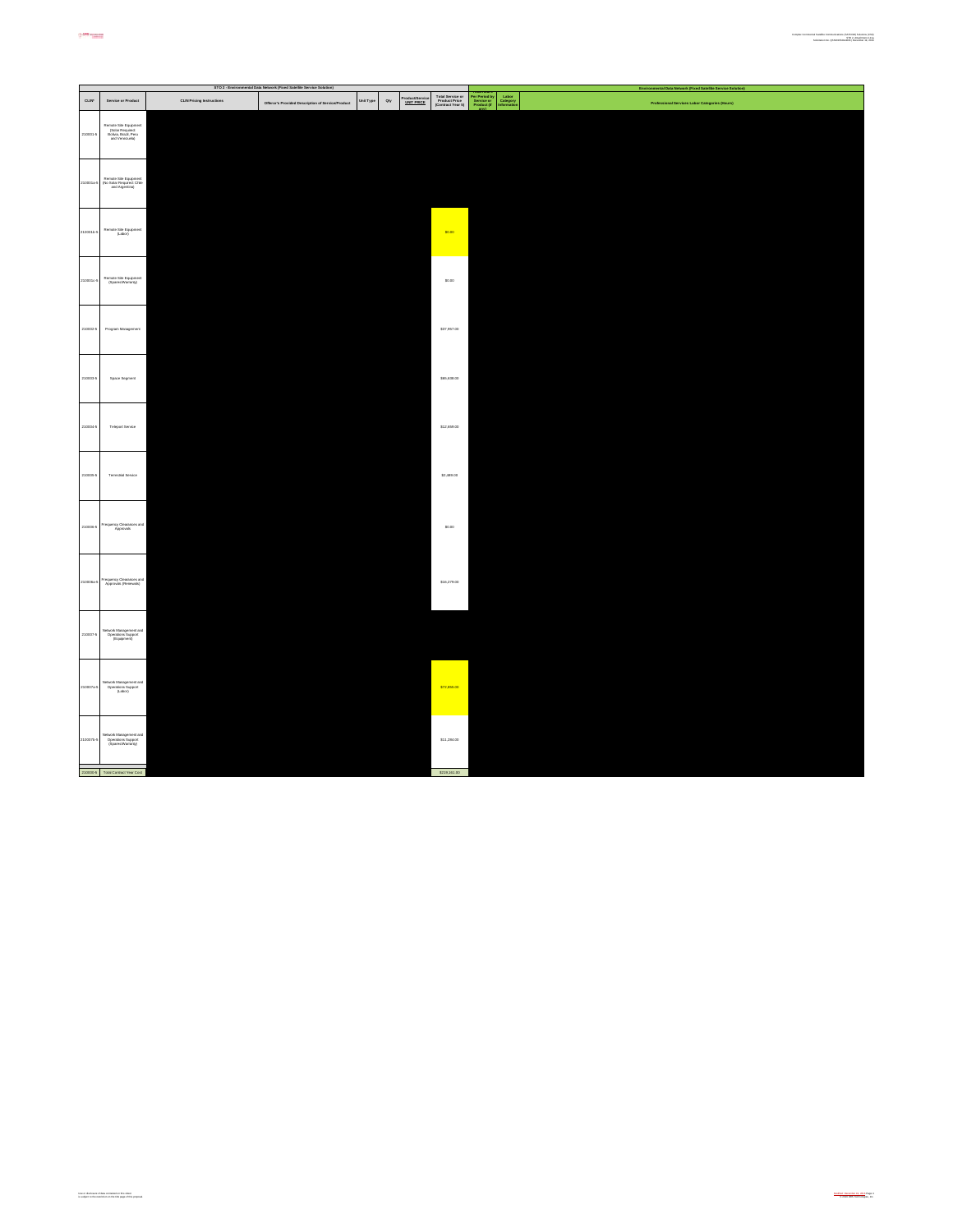|           |                                                                                      |                                  | STO 2 - Environmental Data Network (Fixed Satellite Service Solution) |           |                                                      |                                                        |                                                                                | tal Data Network (Fixed Satellite Service Solut<br>Fax |
|-----------|--------------------------------------------------------------------------------------|----------------------------------|-----------------------------------------------------------------------|-----------|------------------------------------------------------|--------------------------------------------------------|--------------------------------------------------------------------------------|--------------------------------------------------------|
| CLIN      | Service or Product                                                                   | <b>CLIN Pricing Instructions</b> | Offeror's Provided Description of Service/Product                     | Unit Type | Product/Service<br><u>UNIT PRICE</u><br>$_{\rm dry}$ | Total Service or<br>Product Price<br>(Contract Year 5) | Per Period by<br>Service or<br>Product (if<br>Labor<br>Category<br>Information | Professional Services Labor Categories (Hours)         |
| 210001-5  | Remote Site Equipment<br>(Solar Required:<br>Bolivia, Brazil, Peru<br>and Venezuela) |                                  |                                                                       |           |                                                      |                                                        |                                                                                |                                                        |
| 210001a   | Remote Site Equipment<br>(No Solar Required: Chile<br>and Argentina)                 |                                  |                                                                       |           |                                                      |                                                        |                                                                                |                                                        |
| 2100015-5 | Remote Site Equipment<br>(Labot)                                                     |                                  |                                                                       |           |                                                      | \$0.00                                                 |                                                                                |                                                        |
| 100010    | Remote Site Equipment<br>(Spensa/Warranty)                                           |                                  |                                                                       |           |                                                      | \$0.00                                                 |                                                                                |                                                        |
| 210002-5  | Program Management                                                                   |                                  |                                                                       |           |                                                      | \$37,957.00                                            |                                                                                |                                                        |
| 210003-5  | Space Segment                                                                        |                                  |                                                                       |           |                                                      | \$65,638.00                                            |                                                                                |                                                        |
| 210004-5  | Teleport Service                                                                     |                                  |                                                                       |           |                                                      | \$12,659.00                                            |                                                                                |                                                        |
| 210005-5  | <b>Terrestrial Service</b>                                                           |                                  |                                                                       |           |                                                      | \$2,489.00                                             |                                                                                |                                                        |
| 210006-5  | Frequency Clearances and<br>Approvals                                                |                                  |                                                                       |           |                                                      | \$0.00                                                 |                                                                                |                                                        |
| 210006a-5 | Frequency Clearances and<br>Approvals (Renewals)                                     |                                  |                                                                       |           |                                                      | \$16,279.00                                            |                                                                                |                                                        |
| 210007-5  | Network Management and<br>Operations Support<br>(Equipment)                          |                                  |                                                                       |           |                                                      |                                                        |                                                                                |                                                        |
| 10007a-5  | Network Management and<br>Operations Support<br>(Labor)                              |                                  |                                                                       |           |                                                      | \$72,855.00                                            |                                                                                |                                                        |
| 100076    | stwork Management and<br>Operations Support<br>(Spares/Warranty)                     |                                  |                                                                       |           |                                                      | \$11,284.00                                            |                                                                                |                                                        |
|           | 210000-5 Total Contract Year Cost                                                    |                                  |                                                                       |           |                                                      | \$219,161.00                                           |                                                                                |                                                        |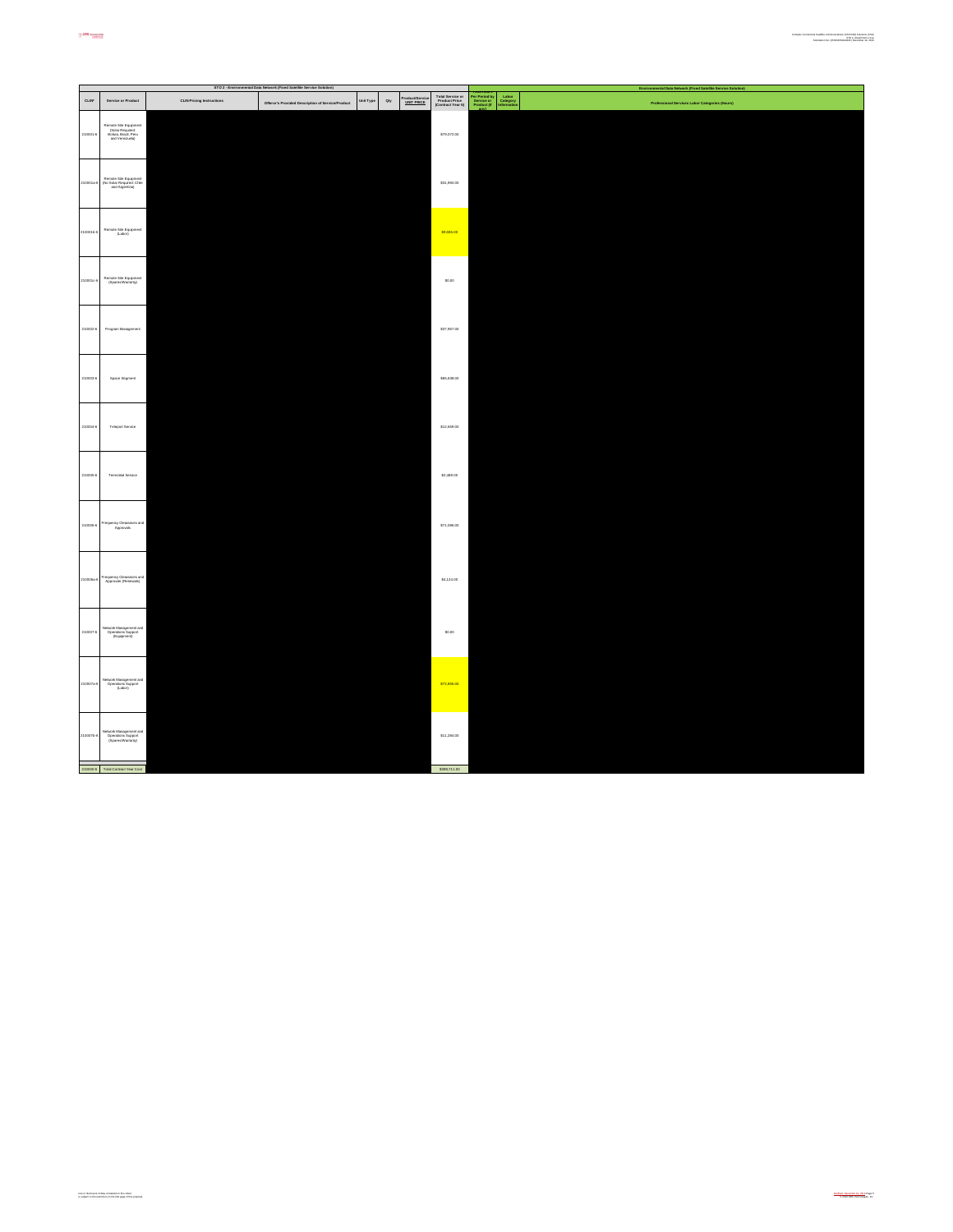|              |                                                                                      |                                  | STO 2 - Environmental Data Network (Fixed Satellite Service Solution) |           |                                               |                                                        | Environmental Data Network (Fixed Satellite Service Solution)                                                                                    |
|--------------|--------------------------------------------------------------------------------------|----------------------------------|-----------------------------------------------------------------------|-----------|-----------------------------------------------|--------------------------------------------------------|--------------------------------------------------------------------------------------------------------------------------------------------------|
| <b>CLIN'</b> | Service or Product                                                                   | <b>CLIN Pricing Instructions</b> | Offeror's Provided Description of Service/Product                     | Unit Type | Product/Service<br>UNIT PRICE<br>$_{\rm Qty}$ | Total Service or<br>Product Price<br>(Contract Year 6) | <b>Total Hours<br/>Per Period by Labor<br/>Service or Category<br/>Product (if Information</b><br>Professional Services Labor Categories (Hours) |
| 210001-8     | Remote Site Equipment<br>(Solar Required:<br>Bolivia, Brazil, Peru<br>and Venezuela) |                                  |                                                                       |           |                                               | \$79,072.00                                            |                                                                                                                                                  |
| 210001a-6    | Remote Site Equipment<br>(No Solar Required: Chile<br>and Argentina)                 |                                  |                                                                       |           |                                               | \$31,992.00                                            |                                                                                                                                                  |
| 210001b-6    | Remote Site Equipment<br>(Labor)                                                     |                                  |                                                                       |           |                                               | \$9,555.00                                             |                                                                                                                                                  |
| 2100010-6    | Remote Site Equipment<br>(Speces/Warranty)                                           |                                  |                                                                       |           |                                               | \$0.00                                                 |                                                                                                                                                  |
| 210002-6     | Program Management                                                                   |                                  |                                                                       |           |                                               | \$37,957.00                                            |                                                                                                                                                  |
| 210003-6     | Space Segment                                                                        |                                  |                                                                       |           |                                               | \$65,638.00                                            |                                                                                                                                                  |
| 210004-6     | Teleport Service                                                                     |                                  |                                                                       |           |                                               | \$12,659.00                                            |                                                                                                                                                  |
| 210005-6     | <b>Terrestrial Service</b>                                                           |                                  |                                                                       |           |                                               | \$2,489.00                                             |                                                                                                                                                  |
| 210006-6     | Frequency Clearances and<br>Approvals                                                |                                  |                                                                       |           |                                               | \$71,086.00                                            |                                                                                                                                                  |
| 210006a-6    | Frequency Clearances and<br>Approvals (Renewals)                                     |                                  |                                                                       |           |                                               | \$4,124.00                                             |                                                                                                                                                  |
| 210007-6     | Network Management and<br>Operations Support<br>(Equipment)                          |                                  |                                                                       |           |                                               | \$0.00                                                 |                                                                                                                                                  |
| 210007a-6    | Network Management and<br>Operations Support<br>(Labor)                              |                                  |                                                                       |           |                                               | \$72,855.00                                            |                                                                                                                                                  |
| 2100076-6    | Vetwork Management and<br>Operations Support<br>(Spanes/Warranty)                    |                                  |                                                                       |           |                                               | \$11,284.00                                            |                                                                                                                                                  |
|              | 210000-8 Total Contract Year Cost                                                    |                                  |                                                                       |           |                                               | \$398,711.00                                           |                                                                                                                                                  |
|              |                                                                                      |                                  |                                                                       |           |                                               |                                                        |                                                                                                                                                  |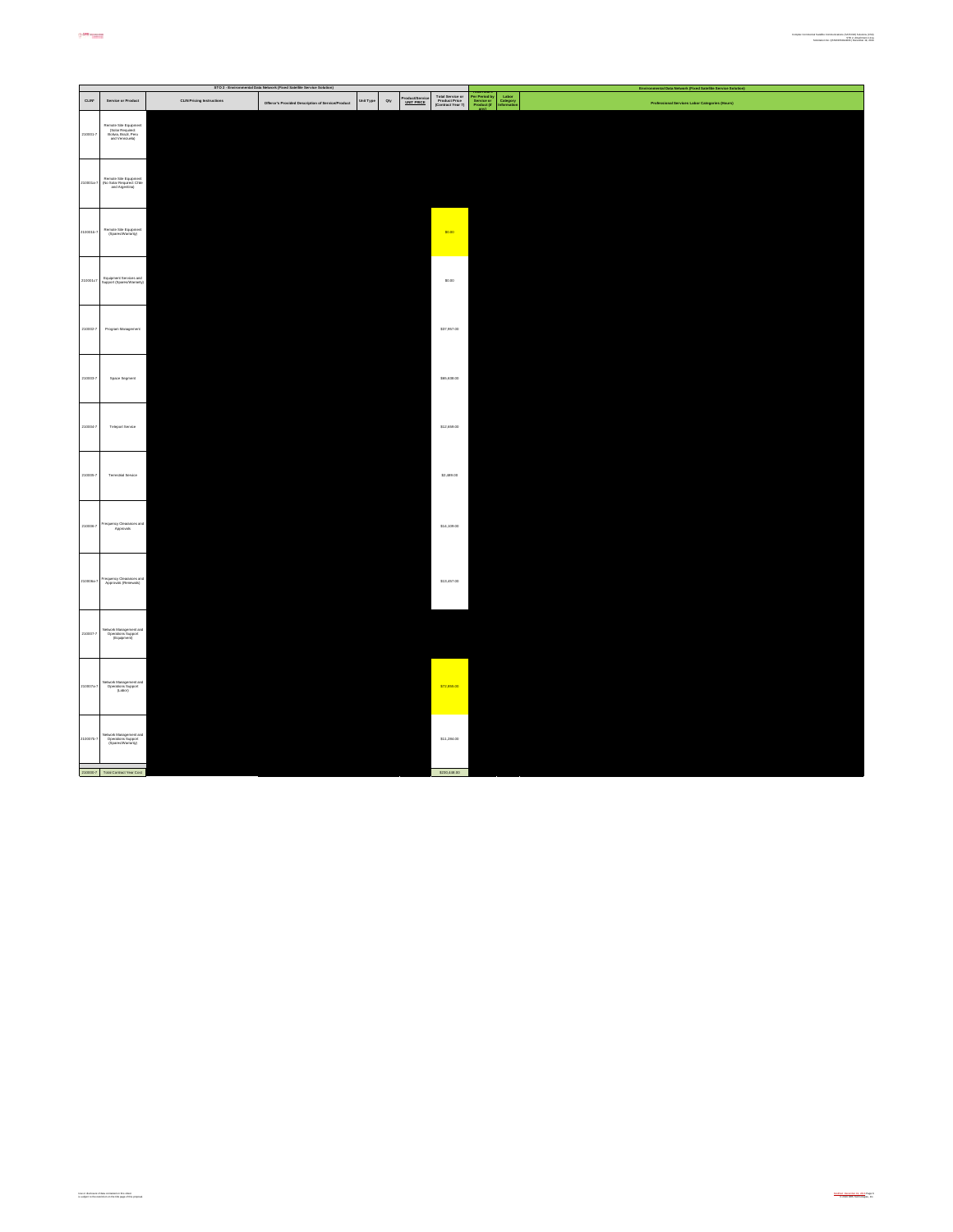|           |                                                                                      |                                  | STO 2 - Environmental Data Network (Fixed Satellite Service Solution) |           |                                             |                                                        |                                                                                | Environmental Data Network (Fixed Satellite Service Solution) |
|-----------|--------------------------------------------------------------------------------------|----------------------------------|-----------------------------------------------------------------------|-----------|---------------------------------------------|--------------------------------------------------------|--------------------------------------------------------------------------------|---------------------------------------------------------------|
| CLIN'     | Service or Product                                                                   | <b>CLIN Pricing Instructions</b> | Offeror's Provided Description of Service/Product                     | Unit Type | Product/Service<br><u>UNIT PRICE</u><br>Qty | Total Service or<br>Product Price<br>(Contract Year 7) | Labor<br>Category<br>Information<br>Per Period by<br>Service or<br>Product (if | Professional Services Labor Categories (Hours)                |
| 210001-7  | Remote Site Equipment<br>(Solar Required:<br>Bolivia, Brazil, Peru<br>and Venezuela) |                                  |                                                                       |           |                                             |                                                        |                                                                                |                                                               |
| 10001s    | Remote Site Equipment<br>(No Solar Required: Chile<br>and Argentina)                 |                                  |                                                                       |           |                                             |                                                        |                                                                                |                                                               |
| 2100015-7 | Remote Site Equipment<br>(Spensa/Warranty)                                           |                                  |                                                                       |           |                                             | \$0.00                                                 |                                                                                |                                                               |
| 210001c7  | Equipment Services and<br>Support (Spares/Warranty)                                  |                                  |                                                                       |           |                                             | \$0.00                                                 |                                                                                |                                                               |
| 210002-7  | Program Management                                                                   |                                  |                                                                       |           |                                             | \$37,957.00                                            |                                                                                |                                                               |
| 210003-7  | Space Segment                                                                        |                                  |                                                                       |           |                                             | \$65,638.00                                            |                                                                                |                                                               |
| 210004-7  | Teleport Service                                                                     |                                  |                                                                       |           |                                             | \$12,659.00                                            |                                                                                |                                                               |
| 210005-7  | <b>Terrestrial Service</b>                                                           |                                  |                                                                       |           |                                             | \$2,489.00                                             |                                                                                |                                                               |
| 210006-7  | requency Clearances and<br>Approvals                                                 |                                  |                                                                       |           |                                             | \$14,109.00                                            |                                                                                |                                                               |
| 10008a    | Frequency Clearances and<br>Approvals (Renewals)                                     |                                  |                                                                       |           |                                             | \$13,457.00                                            |                                                                                |                                                               |
| 210007-7  | Network Management and<br>Operations Support<br>(Equipment)                          |                                  |                                                                       |           |                                             |                                                        |                                                                                |                                                               |
| 210007a-7 | Network Management and<br>Operations Support<br>(Labor)                              |                                  |                                                                       |           |                                             | \$72,855.00                                            |                                                                                |                                                               |
| 210007b-  | Network Management and<br>Operations Support<br>(Speres/Warranty)                    |                                  |                                                                       |           |                                             | \$11,284.00                                            |                                                                                |                                                               |
|           | 210000-7 Total Contract Year Cost                                                    |                                  |                                                                       |           |                                             | \$230,448.00                                           |                                                                                |                                                               |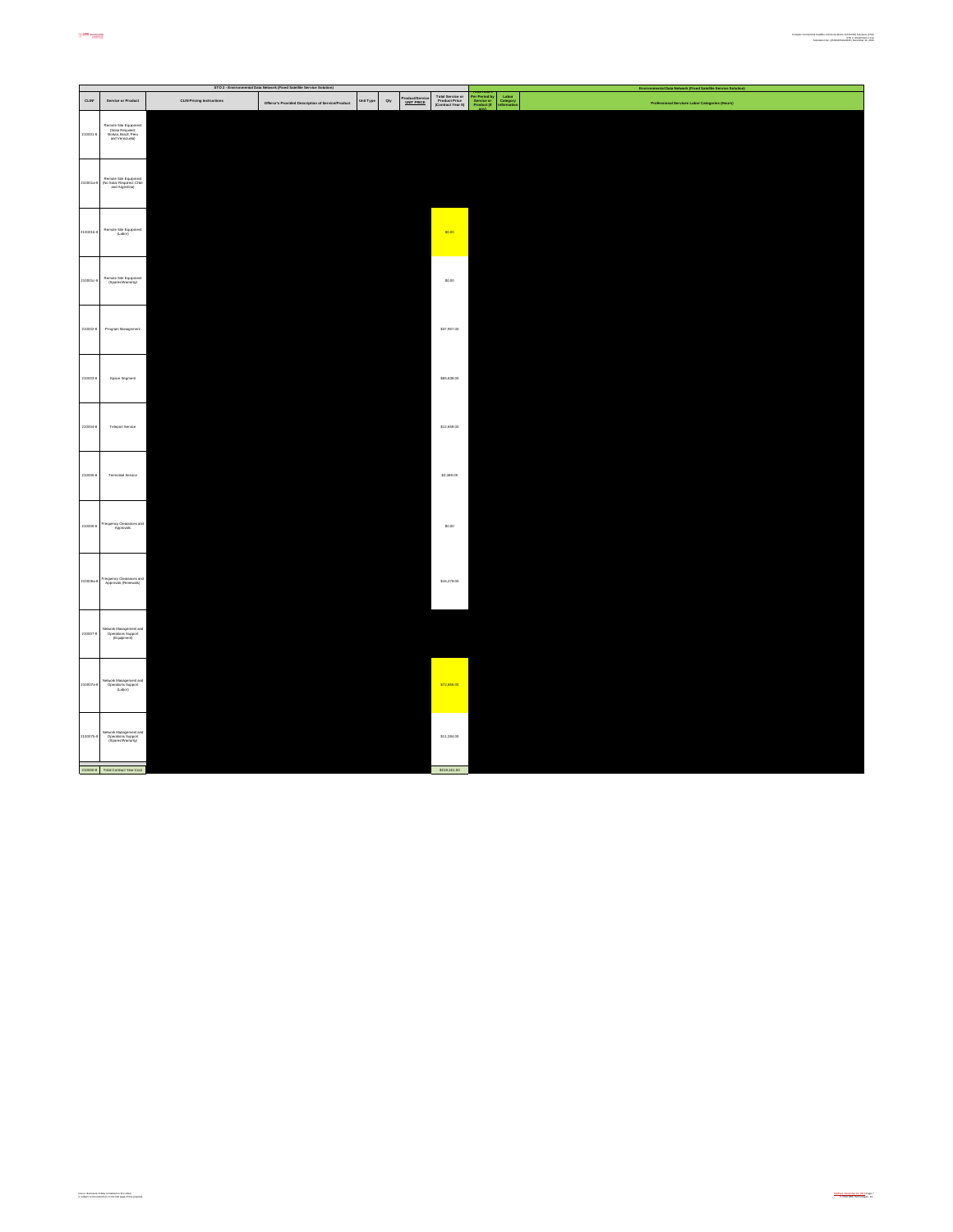|           |                                                                                      |                                  | STO 2 - Environmental Data Network (Fixed Satellite Service Solution) |           |                                                      |                                                        |                                                                                                         | ral Data I<br>rk (Fixed Satellite Service Se   |
|-----------|--------------------------------------------------------------------------------------|----------------------------------|-----------------------------------------------------------------------|-----------|------------------------------------------------------|--------------------------------------------------------|---------------------------------------------------------------------------------------------------------|------------------------------------------------|
| CLIN      | Service or Product                                                                   | <b>CLIN Pricing Instructions</b> | Offeror's Provided Description of Service/Product                     | Unit Type | Product/Service<br><u>UNIT PRICE</u><br>$_{\rm dry}$ | Total Service or<br>Product Price<br>(Contract Year 8) | <b>Potal Hours<br/>Per Period by<br/>Service or<br/>Product (if</b><br>Labor<br>Category<br>Information | Professional Services Labor Categories (Hours) |
| 210001-8  | Remote Site Equipment<br>(Solar Required:<br>Bolivia, Brazil, Peru<br>and Venezuela) |                                  |                                                                       |           |                                                      |                                                        |                                                                                                         |                                                |
| 10001a    | Remote Site Equipment<br>(No Solar Required: Chile<br>and Argentina)                 |                                  |                                                                       |           |                                                      |                                                        |                                                                                                         |                                                |
| 100015-8  | Remote Site Equipment<br>(Labor)                                                     |                                  |                                                                       |           |                                                      | \$0.00                                                 |                                                                                                         |                                                |
| 1000104   | Remote Site Equipment<br>(Speres/Warranty)                                           |                                  |                                                                       |           |                                                      | \$0.00                                                 |                                                                                                         |                                                |
| 210002-8  | Program Management                                                                   |                                  |                                                                       |           |                                                      | \$37,957.00                                            |                                                                                                         |                                                |
| 210003-8  | Space Segment                                                                        |                                  |                                                                       |           |                                                      | \$65,638.00                                            |                                                                                                         |                                                |
| 2100044   | Teleport Service                                                                     |                                  |                                                                       |           |                                                      | \$12,659.00                                            |                                                                                                         |                                                |
| 210005-8  | <b>Terrestrial Service</b>                                                           |                                  |                                                                       |           |                                                      | \$2,489.00                                             |                                                                                                         |                                                |
| 210006-8  | Frequency Clearances and<br>Approvals                                                |                                  |                                                                       |           |                                                      | \$0.00                                                 |                                                                                                         |                                                |
| 10006a8   | Frequency Clearances and<br>Approvals (Renewals)                                     |                                  |                                                                       |           |                                                      | \$16,279.00                                            |                                                                                                         |                                                |
| 210007-8  | Vetwork Management and<br>Operations Support<br>(Equipment)                          |                                  |                                                                       |           |                                                      |                                                        |                                                                                                         |                                                |
| 10007a-8  | Network Management and<br>Operations Support<br>(Labor)                              |                                  |                                                                       |           |                                                      | \$72,855.00                                            |                                                                                                         |                                                |
| 2100076-8 | Network Management and<br>Operations Support<br>(Speres/Warranty)                    |                                  |                                                                       |           |                                                      | \$11,284.00                                            |                                                                                                         |                                                |
|           | 210000-8 Total Contract Year Cost                                                    |                                  |                                                                       |           |                                                      | \$219,161.00                                           |                                                                                                         |                                                |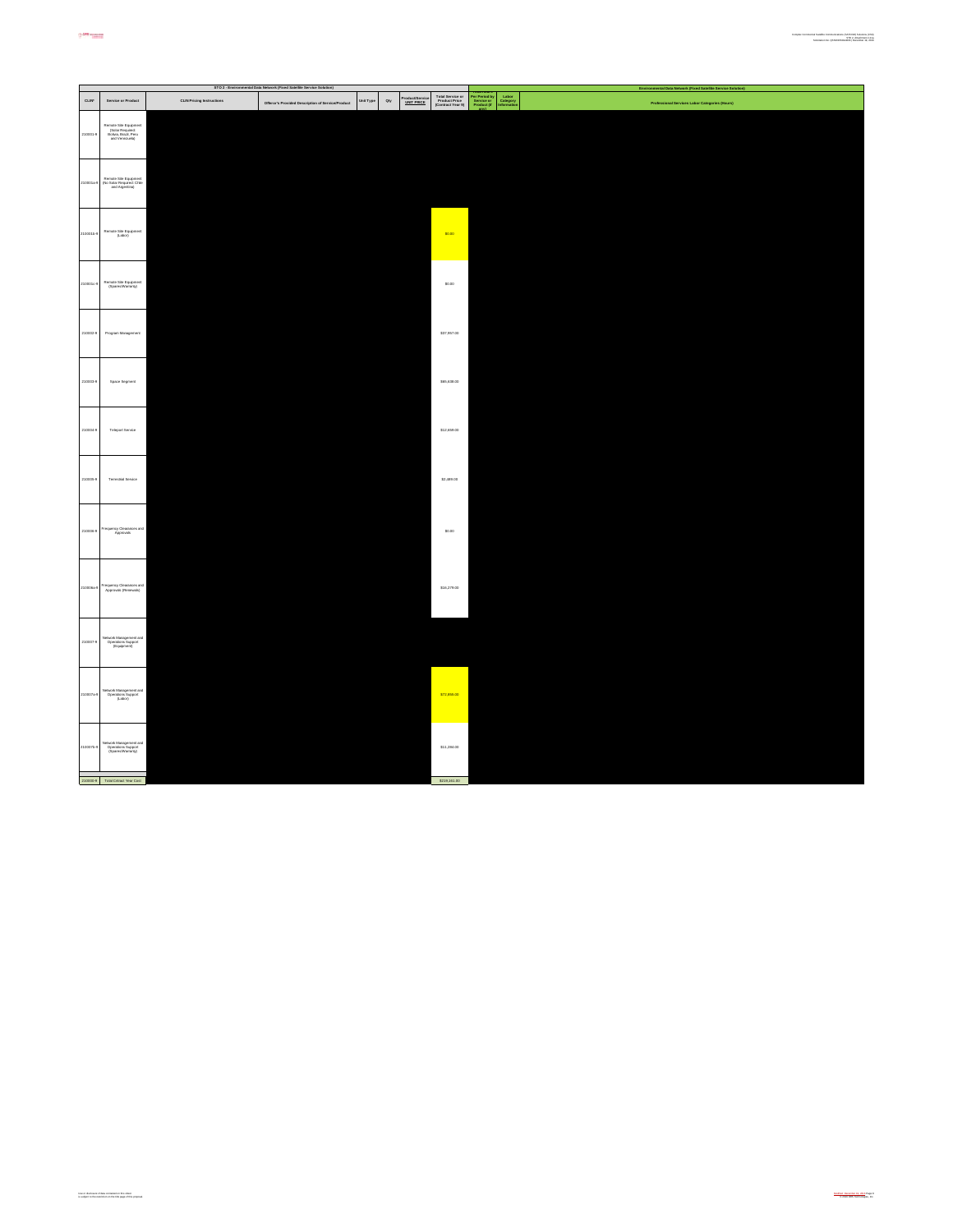|              |                                                                                      |                                  | STO 2 - Environmental Data Network (Fixed Satellite Service Solution) |                  |                                                      |                                                        |                                                                                | Environmental Data Network (Fixed Satellite Service Solution) |
|--------------|--------------------------------------------------------------------------------------|----------------------------------|-----------------------------------------------------------------------|------------------|------------------------------------------------------|--------------------------------------------------------|--------------------------------------------------------------------------------|---------------------------------------------------------------|
| <b>CLIN'</b> | Service or Product                                                                   | <b>CLIN Pricing Instructions</b> | Offeror's Provided Description of Service/Product                     | <b>Unit Type</b> | Product/Service<br><u>UNIT PRICE</u><br>$_{\rm dry}$ | Total Service or<br>Product Price<br>(Contract Year 9) | Per Period by<br>Service or<br>Product (if<br>Labor<br>Category<br>Information | Professional Services Labor Categories (Hours)                |
| 210001-0     | Remote Site Equipment<br>(Solar Required:<br>Bolivia, Brazil, Peru<br>and Venezuela) |                                  |                                                                       |                  |                                                      |                                                        |                                                                                |                                                               |
| 210001a      | Remote Site Equipment<br>(No Solar Required: Chile<br>and Argentina)                 |                                  |                                                                       |                  |                                                      |                                                        |                                                                                |                                                               |
| 00016-9      | Remote Site Equipment<br>(Labor)                                                     |                                  |                                                                       |                  |                                                      | \$0.00                                                 |                                                                                |                                                               |
| 100010       | Remote Site Equipment<br>(Spares/Warranty)                                           |                                  |                                                                       |                  |                                                      | \$0.00                                                 |                                                                                |                                                               |
| 210002-9     | Program Management                                                                   |                                  |                                                                       |                  |                                                      | \$37,957.00                                            |                                                                                |                                                               |
| 210003-9     | Space Segment                                                                        |                                  |                                                                       |                  |                                                      | \$65,638.00                                            |                                                                                |                                                               |
| 210004-0     | Teleport Service                                                                     |                                  |                                                                       |                  |                                                      | \$12,659.00                                            |                                                                                |                                                               |
| 210005-0     | <b>Terrestrial Service</b>                                                           |                                  |                                                                       |                  |                                                      | \$2,489.00                                             |                                                                                |                                                               |
| 210006-0     | Frequency Clearances and<br>Approvals                                                |                                  |                                                                       |                  |                                                      | \$0.00                                                 |                                                                                |                                                               |
| 10006a       | Frequency Clearances and<br>Approvals (Renewals)                                     |                                  |                                                                       |                  |                                                      | \$16,279.00                                            |                                                                                |                                                               |
| 210007-0     | Nictwork Management and<br>Operations Support<br>(Equipment)                         |                                  |                                                                       |                  |                                                      |                                                        |                                                                                |                                                               |
| 10007a-1     | Network Management and<br>Operations Support<br>(Labot)                              |                                  |                                                                       |                  |                                                      | \$72,855.00                                            |                                                                                |                                                               |
| 2100076-0    | Network Management and<br>Operations Support<br>(Spares/Warranty)                    |                                  |                                                                       |                  |                                                      | \$11,284.00                                            |                                                                                |                                                               |
|              | 210000-9 Total Crimet Year Cost                                                      |                                  |                                                                       |                  |                                                      | \$219,161.00                                           |                                                                                |                                                               |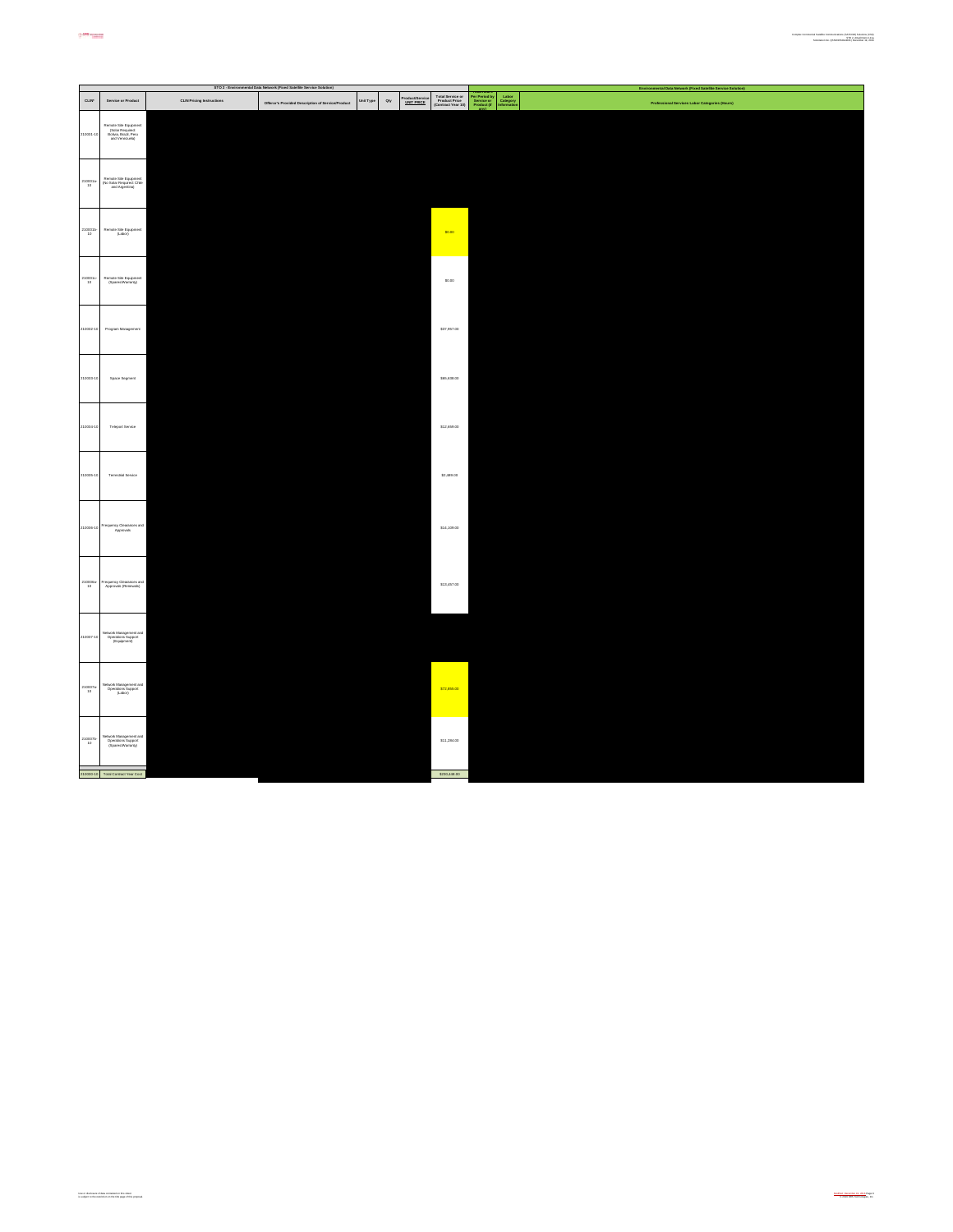|                                                                |                                                                                      |                                  | STO 2 - Environmental Data Network (Fixed Satellite Service Solution) |           |                                                      |                                                         |                                                                                | Environmental Data Network (Fixed Satellite Service Solution) |
|----------------------------------------------------------------|--------------------------------------------------------------------------------------|----------------------------------|-----------------------------------------------------------------------|-----------|------------------------------------------------------|---------------------------------------------------------|--------------------------------------------------------------------------------|---------------------------------------------------------------|
| CLIN'                                                          | Service or Product                                                                   | <b>CLIN Pricing Instructions</b> | Offeror's Provided Description of Service/Product                     | Unit Type | Product/Service<br><u>UNIT PRICE</u><br>$_{\rm Qty}$ | Total Service or<br>Product Price<br>(Contract Year 10) | Per Period by<br>Service or<br>Product (if<br>Labor<br>Category<br>Information | Professional Services Labor Categories (Hours)                |
| 210001-10                                                      | Remote Site Equipment<br>(Solar Required:<br>Bolivia, Brazil, Peru<br>and Venezuela) |                                  |                                                                       |           |                                                      |                                                         |                                                                                |                                                               |
| $\begin{array}{r} \texttt{210001a} \\ \texttt{10} \end{array}$ | Remote Site Equipment<br>(No Solar Required: Chile<br>and Argentina)                 |                                  |                                                                       |           |                                                      |                                                         |                                                                                |                                                               |
| $\overset{210001\text{h}-}{\scriptstyle{10}}$                  | Remote Site Equipment<br>(Labor)                                                     |                                  |                                                                       |           |                                                      | \$0.00                                                  |                                                                                |                                                               |
| 210001c-<br>10                                                 | Remote Site Equipment<br>(Spensa/Warranty)                                           |                                  |                                                                       |           |                                                      | \$0.00                                                  |                                                                                |                                                               |
| 210002-10                                                      | Program Management                                                                   |                                  |                                                                       |           |                                                      | \$37,957.00                                             |                                                                                |                                                               |
| 210003-10                                                      | Space Segment                                                                        |                                  |                                                                       |           |                                                      | \$65,638.00                                             |                                                                                |                                                               |
| 210004-10                                                      | Teleport Service                                                                     |                                  |                                                                       |           |                                                      | \$12,659.00                                             |                                                                                |                                                               |
| 210005-10                                                      | <b>Terrestrial Service</b>                                                           |                                  |                                                                       |           |                                                      | \$2,489.00                                              |                                                                                |                                                               |
| 210006-10                                                      | Frequency Clearances and<br>Approvals                                                |                                  |                                                                       |           |                                                      | \$14,109.00                                             |                                                                                |                                                               |
| 210006a-<br>10                                                 | Frequency Clearances and<br>Approvals (Renewals)                                     |                                  |                                                                       |           |                                                      | \$13,457.00                                             |                                                                                |                                                               |
| 210007-10                                                      | Network Management and<br>Operations Support<br>(Equipment)                          |                                  |                                                                       |           |                                                      |                                                         |                                                                                |                                                               |
| $310007a-10$                                                   | Network Management and<br>Operations Support<br>(Labor)                              |                                  |                                                                       |           |                                                      | \$72,855.00                                             |                                                                                |                                                               |
| 210007b-<br>10                                                 | Network Management and<br>Operations Support<br>(Spanss/Warranty)                    |                                  |                                                                       |           |                                                      | \$11,284.00                                             |                                                                                |                                                               |
|                                                                | 210000-10 Total Contract Year Cost                                                   |                                  |                                                                       |           |                                                      | \$230,448.00                                            |                                                                                |                                                               |